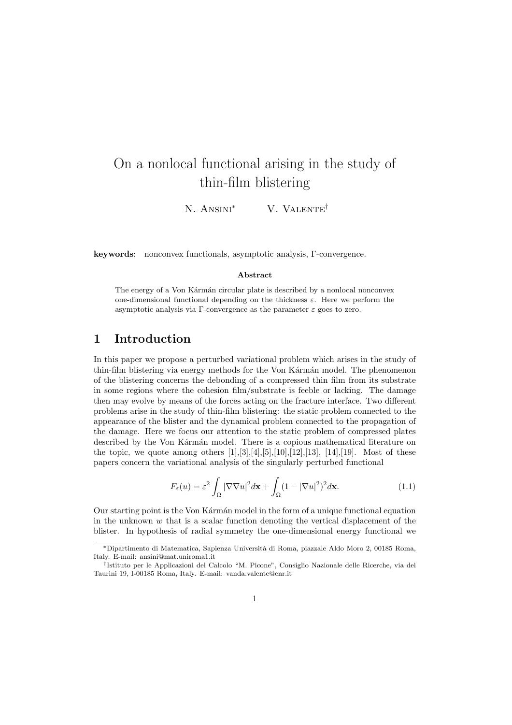# On a nonlocal functional arising in the study of thin-film blistering

N. ANSINI<sup>\*</sup> V. VALENTE<sup>†</sup>

keywords: nonconvex functionals, asymptotic analysis, Γ-convergence.

#### Abstract

The energy of a Von Kármán circular plate is described by a nonlocal nonconvex one-dimensional functional depending on the thickness  $\varepsilon$ . Here we perform the asymptotic analysis via Γ-convergence as the parameter  $\varepsilon$  goes to zero.

## 1 Introduction

In this paper we propose a perturbed variational problem which arises in the study of thin-film blistering via energy methods for the Von Kármán model. The phenomenon of the blistering concerns the debonding of a compressed thin film from its substrate in some regions where the cohesion film/substrate is feeble or lacking. The damage then may evolve by means of the forces acting on the fracture interface. Two different problems arise in the study of thin-film blistering: the static problem connected to the appearance of the blister and the dynamical problem connected to the propagation of the damage. Here we focus our attention to the static problem of compressed plates described by the Von Kármán model. There is a copious mathematical literature on the topic, we quote among others  $[1],[3],[4],[5],[10],[12],[13], [14],[19]$ . Most of these papers concern the variational analysis of the singularly perturbed functional

$$
F_{\varepsilon}(u) = \varepsilon^2 \int_{\Omega} |\nabla \nabla u|^2 d\mathbf{x} + \int_{\Omega} (1 - |\nabla u|^2)^2 d\mathbf{x}.
$$
 (1.1)

Our starting point is the Von Karman model in the form of a unique functional equation in the unknown  $w$  that is a scalar function denoting the vertical displacement of the blister. In hypothesis of radial symmetry the one-dimensional energy functional we

<sup>∗</sup>Dipartimento di Matematica, Sapienza Universit`a di Roma, piazzale Aldo Moro 2, 00185 Roma, Italy. E-mail: ansini@mat.uniroma1.it

<sup>†</sup> Istituto per le Applicazioni del Calcolo "M. Picone", Consiglio Nazionale delle Ricerche, via dei Taurini 19, I-00185 Roma, Italy. E-mail: vanda.valente@cnr.it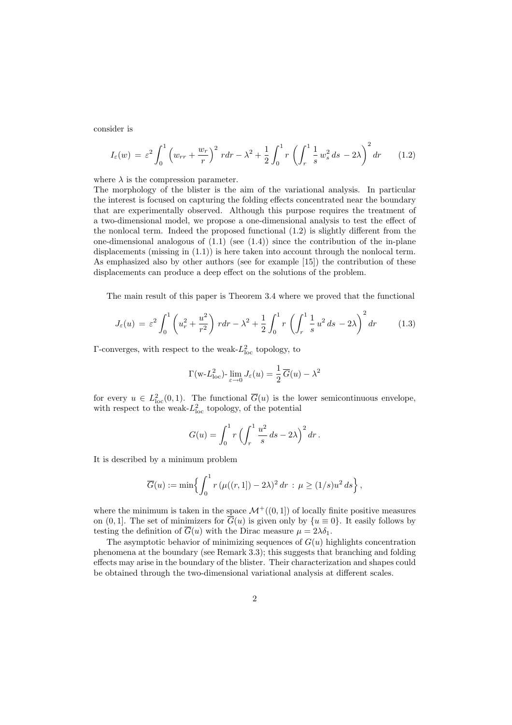consider is

$$
I_{\varepsilon}(w) = \varepsilon^2 \int_0^1 \left( w_{rr} + \frac{w_r}{r} \right)^2 r dr - \lambda^2 + \frac{1}{2} \int_0^1 r \left( \int_r^1 \frac{1}{s} w_s^2 ds - 2\lambda \right)^2 dr \qquad (1.2)
$$

where  $\lambda$  is the compression parameter.

The morphology of the blister is the aim of the variational analysis. In particular the interest is focused on capturing the folding effects concentrated near the boundary that are experimentally observed. Although this purpose requires the treatment of a two-dimensional model, we propose a one-dimensional analysis to test the effect of the nonlocal term. Indeed the proposed functional (1.2) is slightly different from the one-dimensional analogous of  $(1.1)$  (see  $(1.4)$ ) since the contribution of the in-plane displacements (missing in (1.1)) is here taken into account through the nonlocal term. As emphasized also by other authors (see for example [15]) the contribution of these displacements can produce a deep effect on the solutions of the problem.

The main result of this paper is Theorem 3.4 where we proved that the functional

$$
J_{\varepsilon}(u) = \varepsilon^2 \int_0^1 \left( u_r^2 + \frac{u^2}{r^2} \right) r dr - \lambda^2 + \frac{1}{2} \int_0^1 r \left( \int_r^1 \frac{1}{s} u^2 ds - 2\lambda \right)^2 dr \tag{1.3}
$$

 $\Gamma$ -converges, with respect to the weak- $L^2_{\text{loc}}$  topology, to

$$
\Gamma(\mathbf{w} - L_{\text{loc}}^2) - \lim_{\varepsilon \to 0} J_{\varepsilon}(u) = \frac{1}{2} \overline{G}(u) - \lambda^2
$$

for every  $u \in L^2_{loc}(0,1)$ . The functional  $\overline{G}(u)$  is the lower semicontinuous envelope, with respect to the weak- $L^2_{\text{loc}}$  topology, of the potential

$$
G(u) = \int_0^1 r \left( \int_r^1 \frac{u^2}{s} \, ds - 2\lambda \right)^2 dr \, .
$$

It is described by a minimum problem

$$
\overline{G}(u) := \min \Bigl\{ \int_0^1 r \, (\mu((r,1]) - 2\lambda)^2 \, dr \, : \, \mu \ge (1/s) u^2 \, ds \Bigr\} \, ,
$$

where the minimum is taken in the space  $\mathcal{M}^+((0,1])$  of locally finite positive measures on  $(0, 1]$ . The set of minimizers for  $\overline{G}(u)$  is given only by  $\{u \equiv 0\}$ . It easily follows by testing the definition of  $\overline{G}(u)$  with the Dirac measure  $\mu = 2\lambda \delta_1$ .

The asymptotic behavior of minimizing sequences of  $G(u)$  highlights concentration phenomena at the boundary (see Remark 3.3); this suggests that branching and folding effects may arise in the boundary of the blister. Their characterization and shapes could be obtained through the two-dimensional variational analysis at different scales.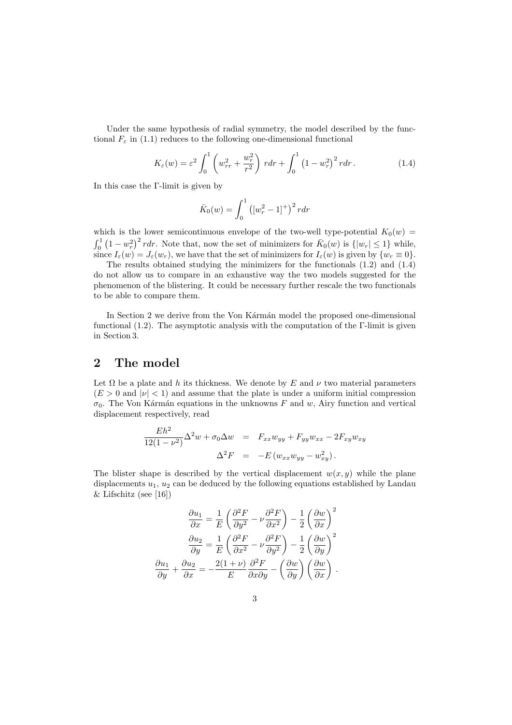Under the same hypothesis of radial symmetry, the model described by the functional  $F_{\varepsilon}$  in (1.1) reduces to the following one-dimensional functional

$$
K_{\varepsilon}(w) = \varepsilon^2 \int_0^1 \left( w_{rr}^2 + \frac{w_r^2}{r^2} \right) r dr + \int_0^1 \left( 1 - w_r^2 \right)^2 r dr. \tag{1.4}
$$

In this case the Γ-limit is given by

$$
\bar{K}_0(w) = \int_0^1 \left( [w_r^2 - 1]^+ \right)^2 r dr
$$

which is the lower semicontinuous envelope of the two-well type-potential  $K_0(w) =$ 0 µ<br>∕  $1 - w_r^2$  $\int_{0}^{\infty} r dr$ . Note that, now the set of minimizers for  $\overline{K}_{0}(w)$  is  $\{|w_{r}| \leq 1\}$  while, since  $I_{\varepsilon}(w) = J_{\varepsilon}(w_r)$ , we have that the set of minimizers for  $I_{\varepsilon}(w)$  is given by  $\{w_r \equiv 0\}$ .

The results obtained studying the minimizers for the functionals (1.2) and (1.4) do not allow us to compare in an exhaustive way the two models suggested for the phenomenon of the blistering. It could be necessary further rescale the two functionals to be able to compare them.

In Section 2 we derive from the Von Kármán model the proposed one-dimensional functional (1.2). The asymptotic analysis with the computation of the Γ-limit is given in Section 3.

## 2 The model

Let  $\Omega$  be a plate and h its thickness. We denote by E and  $\nu$  two material parameters  $(E > 0$  and  $|\nu| < 1$ ) and assume that the plate is under a uniform initial compression  $\sigma_0$ . The Von Kármán equations in the unknowns F and w, Airy function and vertical displacement respectively, read

$$
\frac{Eh^2}{12(1-\nu^2)}\Delta^2 w + \sigma_0 \Delta w = F_{xx}w_{yy} + F_{yy}w_{xx} - 2F_{xy}w_{xy}
$$

$$
\Delta^2 F = -E(w_{xx}w_{yy} - w_{xy}^2).
$$

The blister shape is described by the vertical displacement  $w(x, y)$  while the plane displacements  $u_1, u_2$  can be deduced by the following equations established by Landau & Lifschitz (see [16])

$$
\frac{\partial u_1}{\partial x} = \frac{1}{E} \left( \frac{\partial^2 F}{\partial y^2} - \nu \frac{\partial^2 F}{\partial x^2} \right) - \frac{1}{2} \left( \frac{\partial w}{\partial x} \right)^2
$$

$$
\frac{\partial u_2}{\partial y} = \frac{1}{E} \left( \frac{\partial^2 F}{\partial x^2} - \nu \frac{\partial^2 F}{\partial y^2} \right) - \frac{1}{2} \left( \frac{\partial w}{\partial y} \right)^2
$$

$$
\frac{\partial u_1}{\partial y} + \frac{\partial u_2}{\partial x} = -\frac{2(1+\nu)}{E} \frac{\partial^2 F}{\partial x \partial y} - \left( \frac{\partial w}{\partial y} \right) \left( \frac{\partial w}{\partial x} \right).
$$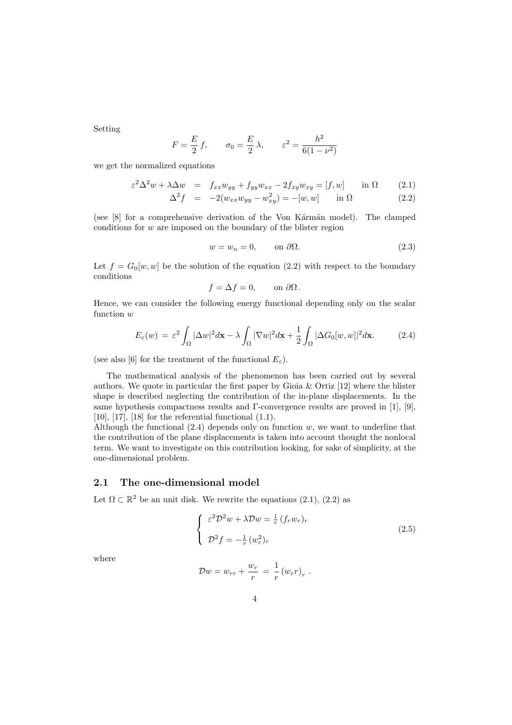Setting

$$
F = \frac{E}{2} f
$$
,  $\sigma_0 = \frac{E}{2} \lambda$ ,  $\varepsilon^2 = \frac{h^2}{6(1 - \nu^2)}$ 

we get the normalized equations

$$
\varepsilon^2 \Delta^2 w + \lambda \Delta w = f_{xx} w_{yy} + f_{yy} w_{xx} - 2f_{xy} w_{xy} = [f, w] \quad \text{in } \Omega \tag{2.1}
$$

$$
\Delta^2 f = -2(w_{xx}w_{yy} - w_{xy}^2) = -[w, w] \quad \text{in } \Omega \tag{2.2}
$$

(see  $[8]$  for a comprehensive derivation of the Von K $\acute{a}$ rm $\acute{a}$ n model). The clamped conditions for w are imposed on the boundary of the blister region

$$
w = w_n = 0, \qquad \text{on } \partial\Omega. \tag{2.3}
$$

Let  $f = G_0[w, w]$  be the solution of the equation (2.2) with respect to the boundary conditions

$$
f = \Delta f = 0, \qquad \text{on } \partial \Omega \, .
$$

Hence, we can consider the following energy functional depending only on the scalar function  $w$ 

$$
E_{\varepsilon}(w) = \varepsilon^2 \int_{\Omega} |\Delta w|^2 d\mathbf{x} - \lambda \int_{\Omega} |\nabla w|^2 d\mathbf{x} + \frac{1}{2} \int_{\Omega} |\Delta G_0[w, w]|^2 d\mathbf{x}.
$$
 (2.4)

(see also [6] for the treatment of the functional  $E_{\varepsilon}$ ).

The mathematical analysis of the phenomenon has been carried out by several authors. We quote in particular the first paper by Gioia  $\&$  Ortiz [12] where the blister shape is described neglecting the contribution of the in-plane displacements. In the same hypothesis compactness results and Γ-convergence results are proved in [1], [9],  $[10]$ ,  $[17]$ ,  $[18]$  for the referential functional  $(1.1)$ .

Although the functional  $(2.4)$  depends only on function w, we want to underline that the contribution of the plane displacements is taken into account thought the nonlocal term. We want to investigate on this contribution looking, for sake of simplicity, at the one-dimensional problem.

### 2.1 The one-dimensional model

Let  $\Omega \subset \mathbb{R}^2$  be an unit disk. We rewrite the equations  $(2.1)$ ,  $(2.2)$  as

$$
\begin{cases}\n\varepsilon^2 \mathcal{D}^2 w + \lambda \mathcal{D} w = \frac{1}{r} (f_r w_r)_r \\
\mathcal{D}^2 f = -\frac{1}{r} (w_r^2)_r\n\end{cases}
$$
\n(2.5)

where

$$
\mathcal{D}w = w_{rr} + \frac{w_r}{r} = \frac{1}{r} (w_r r)_r.
$$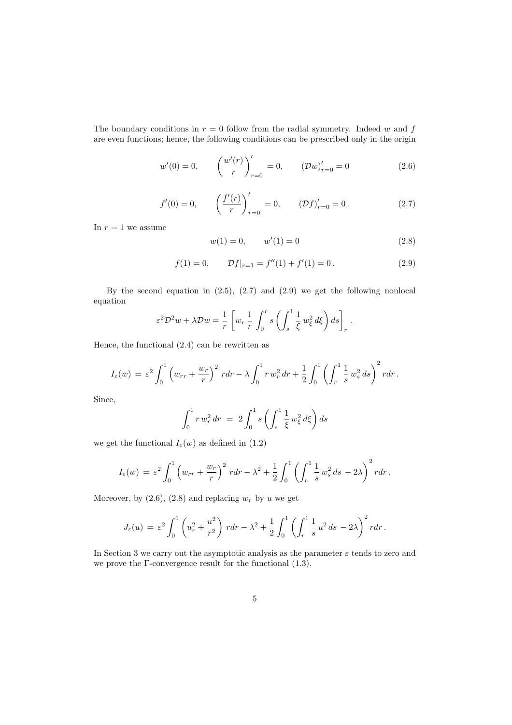The boundary conditions in  $r = 0$  follow from the radial symmetry. Indeed w and f are even functions; hence, the following conditions can be prescribed only in the origin

$$
w'(0) = 0, \qquad \left(\frac{w'(r)}{r}\right)_{r=0}' = 0, \qquad \left(\mathcal{D}w\right)_{r=0}' = 0 \tag{2.6}
$$

$$
f'(0) = 0, \qquad \left(\frac{f'(r)}{r}\right)'_{r=0} = 0, \qquad \left(\mathcal{D}f\right)'_{r=0} = 0. \tag{2.7}
$$

In  $r = 1$  we assume

$$
w(1) = 0, \qquad w'(1) = 0 \tag{2.8}
$$

$$
f(1) = 0, \qquad \mathcal{D}f|_{r=1} = f''(1) + f'(1) = 0. \tag{2.9}
$$

By the second equation in  $(2.5)$ ,  $(2.7)$  and  $(2.9)$  we get the following nonlocal equation

$$
\varepsilon^2 \mathcal{D}^2 w + \lambda \mathcal{D} w = \frac{1}{r} \left[ w_r \frac{1}{r} \int_0^r s \left( \int_s^1 \frac{1}{\xi} w_\xi^2 d\xi \right) ds \right]_r.
$$

Hence, the functional (2.4) can be rewritten as

$$
I_{\varepsilon}(w) = \varepsilon^2 \int_0^1 \left( w_{rr} + \frac{w_r}{r} \right)^2 r dr - \lambda \int_0^1 r w_r^2 dr + \frac{1}{2} \int_0^1 \left( \int_r^1 \frac{1}{s} w_s^2 ds \right)^2 r dr.
$$

Since,

$$
\int_0^1 r \, w_r^2 \, dr \ = \ 2 \int_0^1 s \left( \int_s^1 \frac{1}{\xi} \, w_\xi^2 \, d\xi \right) ds
$$

we get the functional  $I_{\varepsilon}(w)$  as defined in (1.2)

$$
I_{\varepsilon}(w) = \varepsilon^2 \int_0^1 \left( w_{rr} + \frac{w_r}{r} \right)^2 r dr - \lambda^2 + \frac{1}{2} \int_0^1 \left( \int_r^1 \frac{1}{s} w_s^2 ds - 2\lambda \right)^2 r dr.
$$

Moreover, by  $(2.6)$ ,  $(2.8)$  and replacing  $w_r$  by u we get

$$
J_{\varepsilon}(u) = \varepsilon^2 \int_0^1 \left( u_r^2 + \frac{u^2}{r^2} \right) r dr - \lambda^2 + \frac{1}{2} \int_0^1 \left( \int_r^1 \frac{1}{s} u^2 ds - 2\lambda \right)^2 r dr.
$$

In Section 3 we carry out the asymptotic analysis as the parameter  $\varepsilon$  tends to zero and we prove the Γ-convergence result for the functional (1.3).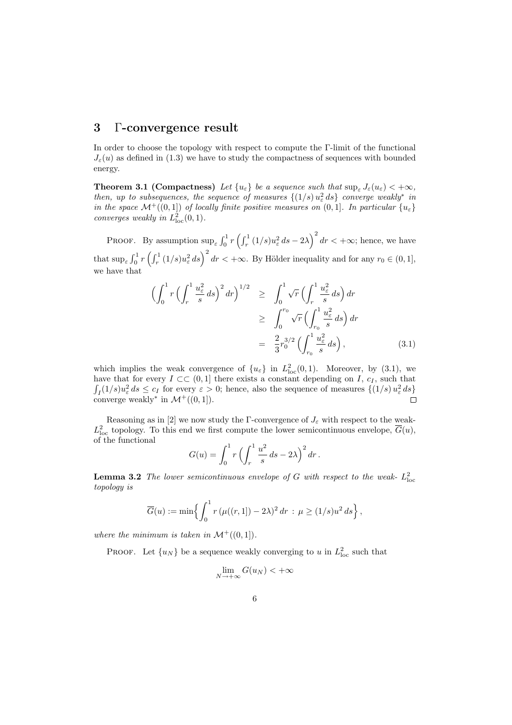## 3 Γ-convergence result

In order to choose the topology with respect to compute the Γ-limit of the functional  $J_{\varepsilon}(u)$  as defined in (1.3) we have to study the compactness of sequences with bounded energy.

**Theorem 3.1 (Compactness)** Let  $\{u_{\varepsilon}\}\$ be a sequence such that  $\sup_{\varepsilon} J_{\varepsilon}(u_{\varepsilon}) < +\infty$ , then, up to subsequences, the sequence of measures  $\{(1/s) u_{\varepsilon}^2 ds\}$  converge weakly<sup>\*</sup> in in the space  $\mathcal{M}^+((0,1])$  of locally finite positive measures on  $(0,1]$ . In particular  $\{u_{\varepsilon}\}$ converges weakly in  $L^2_{\text{loc}}(0,1)$ .

PROOF. By assumption  $\sup_{\varepsilon} \int_0^1$  $\int_0^1 r \left( \int_r^1 \right)$  $\int_{r}^{1}(1/s)u_{\varepsilon}^{2}ds-2\lambda$  $\sqrt{2}$  $dr < +\infty$ ; hence, we have that  $\sup_{\varepsilon}$  $r<sup>1</sup>$  $\int_0^1 r \left( \int_r^1 \right)$  $r_r^{1}(1/s)u_\varepsilon^2 ds\bigg)^2 dr < +\infty.$  By Hölder inequality and for any  $r_0 \in (0,1],$ we have that

$$
\begin{split}\n\left(\int_{0}^{1} r \left(\int_{r}^{1} \frac{u_{\varepsilon}^{2}}{s} ds\right)^{2} dr\right)^{1/2} &\geq \int_{0}^{1} \sqrt{r} \left(\int_{r}^{1} \frac{u_{\varepsilon}^{2}}{s} ds\right) dr \\
&\geq \int_{0}^{r_{0}} \sqrt{r} \left(\int_{r_{0}}^{1} \frac{u_{\varepsilon}^{2}}{s} ds\right) dr \\
&= \frac{2}{3} r_{0}^{3/2} \left(\int_{r_{0}}^{1} \frac{u_{\varepsilon}^{2}}{s} ds\right),\n\end{split} \tag{3.1}
$$

which implies the weak convergence of  $\{u_{\varepsilon}\}\$ in  $L^2_{\text{loc}}(0,1)$ . Moreover, by (3.1), we have that for every  $I \subset\subset (0,1]$  there exists a constant depending on I,  $c_I$ , such that  $I_I(1/s)u_\varepsilon^2 ds \leq c_I$  for every  $\varepsilon > 0$ ; hence, also the sequence of measures  $\{(1/s)u_\varepsilon^2 ds\}$ converge weakly<sup>\*</sup> in  $\mathcal{M}^+((0,1])$ .

Reasoning as in [2] we now study the Γ-convergence of  $J_{\varepsilon}$  with respect to the weak- $L^2_{\text{loc}}$  topology. To this end we first compute the lower semicontinuous envelope,  $\overline{G}(u)$ , of the functional  $\ell$ <sup>1</sup>

$$
G(u) = \int_0^1 r \left( \int_r^1 \frac{u^2}{s} \, ds - 2\lambda \right)^2 dr \, .
$$

**Lemma 3.2** The lower semicontinuous envelope of G with respect to the weak- $L^2_{\text{loc}}$ topology is

$$
\overline{G}(u) := \min \Biggl\{ \int_0^1 r \left( \mu((r,1]) - 2\lambda \right)^2 dr \, : \, \mu \ge (1/s) u^2 ds \Biggr\} \, ,
$$

where the minimum is taken in  $\mathcal{M}^+((0,1])$ .

**PROOF.** Let  $\{u_N\}$  be a sequence weakly converging to u in  $L^2_{loc}$  such that

$$
\lim_{N \to +\infty} G(u_N) < +\infty
$$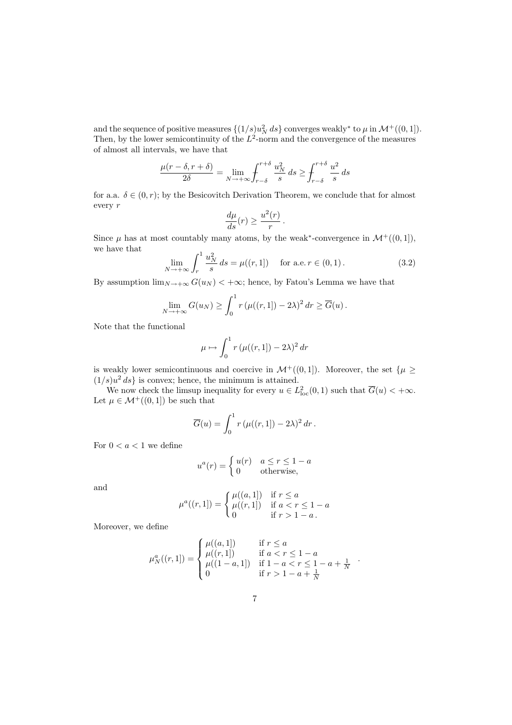and the sequence of positive measures  $\{(1/s)u_N^2 ds\}$  converges weakly<sup>\*</sup> to  $\mu$  in  $\mathcal{M}^+((0, 1])$ . Then, by the lower semicontinuity of the  $L^2$ -norm and the convergence of the measures of almost all intervals, we have that

$$
\frac{\mu(r-\delta,r+\delta)}{2\delta} = \lim_{N \to +\infty} \int_{r-\delta}^{r+\delta} \frac{u_N^2}{s} ds \ge \int_{r-\delta}^{r+\delta} \frac{u^2}{s} ds
$$

for a.a.  $\delta \in (0, r)$ ; by the Besicovitch Derivation Theorem, we conclude that for almost every r

$$
\frac{d\mu}{ds}(r) \ge \frac{u^2(r)}{r}.
$$

Since  $\mu$  has at most countably many atoms, by the weak<sup>\*</sup>-convergence in  $\mathcal{M}^+((0,1])$ , we have that  $\mathfrak{c}^1$ 

$$
\lim_{N \to +\infty} \int_{r}^{1} \frac{u_N^2}{s} ds = \mu((r, 1]) \quad \text{for a.e. } r \in (0, 1).
$$
 (3.2)

By assumption  $\lim_{N\to+\infty} G(u_N) < +\infty$ ; hence, by Fatou's Lemma we have that

$$
\lim_{N \to +\infty} G(u_N) \ge \int_0^1 r \left( \mu((r,1]) - 2\lambda \right)^2 dr \ge \overline{G}(u).
$$

Note that the functional

$$
\mu \mapsto \int_0^1 r \left( \mu((r,1]) - 2\lambda \right)^2 dr
$$

is weakly lower semicontinuous and coercive in  $\mathcal{M}^+((0,1])$ . Moreover, the set  $\{\mu \geq \alpha\}$  $(1/s)u<sup>2</sup> ds$  is convex; hence, the minimum is attained.

We now check the limsup inequality for every  $u \in L^2_{loc}(0,1)$  such that  $\overline{G}(u) < +\infty$ . Let  $\mu \in \mathcal{M}^+((0,1])$  be such that

$$
\overline{G}(u) = \int_0^1 r \left( \mu((r, 1]) - 2\lambda \right)^2 dr.
$$

For  $0 < a < 1$  we define

$$
u^{a}(r) = \begin{cases} u(r) & a \le r \le 1 - a \\ 0 & \text{otherwise,} \end{cases}
$$

and

$$
\mu^{a}((r, 1]) = \begin{cases} \mu((a, 1]) & \text{if } r \le a \\ \mu((r, 1]) & \text{if } a < r \le 1 - a \\ 0 & \text{if } r > 1 - a. \end{cases}
$$

Moreover, we define

$$
\mu_N^a((r,1]) = \begin{cases} \mu((a,1]) & \text{if } r \le a \\ \mu((r,1]) & \text{if } a < r \le 1-a \\ \mu((1-a,1]) & \text{if } 1-a < r \le 1-a+\frac{1}{N} \\ 0 & \text{if } r > 1-a+\frac{1}{N} \end{cases}
$$

.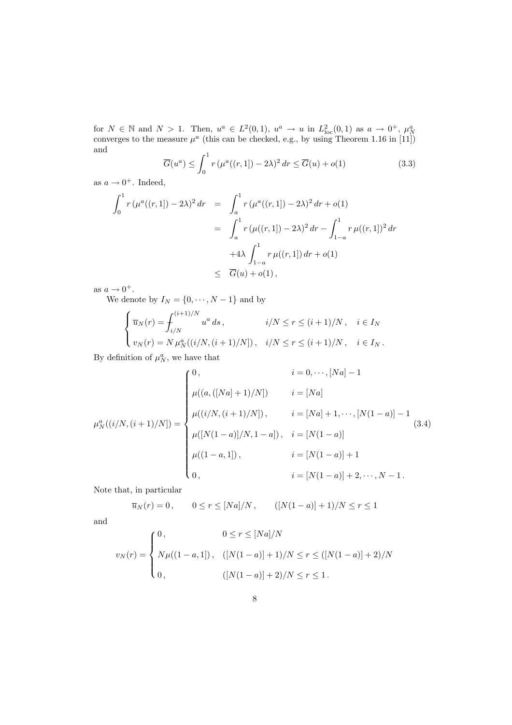for  $N \in \mathbb{N}$  and  $N > 1$ . Then,  $u^a \in L^2(0,1)$ ,  $u^a \to u$  in  $L^2_{loc}(0,1)$  as  $a \to 0^+$ ,  $\mu^a_N$  converges to the measure  $\mu^a$  (this can be checked, e.g., by using Theorem 1.16 in [11]) and

$$
\overline{G}(u^a) \le \int_0^1 r \left(\mu^a((r,1]) - 2\lambda\right)^2 dr \le \overline{G}(u) + o(1)
$$
\n(3.3)

as  $a \to 0^+$ . Indeed,

$$
\int_0^1 r \left( \mu^a((r,1]) - 2\lambda \right)^2 dr = \int_a^1 r \left( \mu^a((r,1]) - 2\lambda \right)^2 dr + o(1)
$$
  
= 
$$
\int_a^1 r \left( \mu((r,1]) - 2\lambda \right)^2 dr - \int_{1-a}^1 r \mu((r,1])^2 dr
$$
  
+4\lambda 
$$
\int_{1-a}^1 r \mu((r,1]) dr + o(1)
$$
  

$$
\leq \overline{G}(u) + o(1),
$$

as  $a \to 0^+$ .

We denote by  $I_N = \{0, \dots, N-1\}$  and by

$$
\begin{cases} \overline{u}_N(r) = \int_{i/N}^{(i+1)/N} u^a ds, & i/N \le r \le (i+1)/N, \quad i \in I_N \\ v_N(r) = N \mu_N^a((i/N, (i+1)/N]), & i/N \le r \le (i+1)/N, \quad i \in I_N. \end{cases}
$$

By definition of  $\mu_N^a$ , we have that

$$
\mu_N^a((i/N, (i+1)/N]) = \begin{cases}\n0, & i = 0, \cdots, [Na] - 1 \\
\mu((a, ([Na] + 1)/N]) & i = [Na] \\
\mu((i/N, (i+1)/N]), & i = [Na] + 1, \cdots, [N(1 - a)] - 1 \\
\mu([N(1 - a)]/N, 1 - a]), & i = [N(1 - a)] \\
\mu((1 - a, 1]), & i = [N(1 - a)] + 1 \\
0, & i = [N(1 - a)] + 2, \cdots, N - 1.\n\end{cases}
$$
\n(3.4)

Note that, in particular

$$
\overline{u}_N(r) = 0
$$
,  $0 \le r \le [Na]/N$ ,  $([N(1-a)] + 1)/N \le r \le 1$ 

and

$$
v_N(r) = \begin{cases} 0, & 0 \le r \le [Na]/N \\ N\mu((1-a,1]), & ([N(1-a)]+1)/N \le r \le ([N(1-a)]+2)/N \\ 0, & ([N(1-a)]+2)/N \le r \le 1. \end{cases}
$$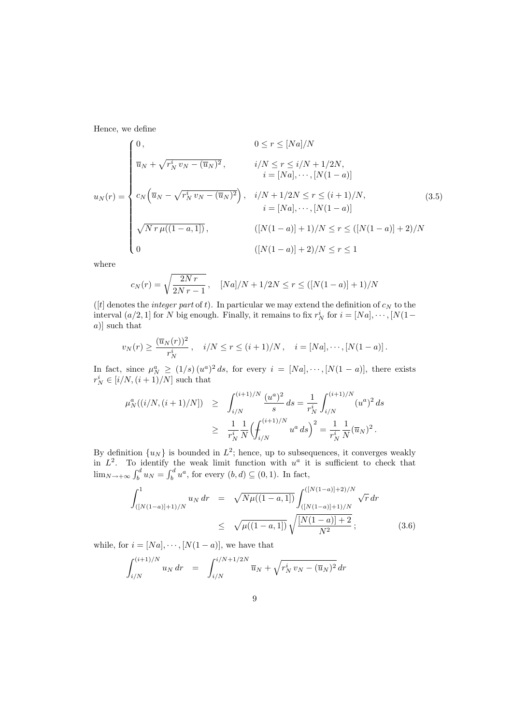Hence, we define

$$
u_N(r) = \begin{cases} 0, & 0 \le r \le [Na]/N \\ \overline{u}_N + \sqrt{r_N^i v_N - (\overline{u}_N)^2}, & i/N \le r \le i/N + 1/2N, \\ & i = [Na], \cdots, [N(1-a)] \\ c_N (\overline{u}_N - \sqrt{r_N^i v_N - (\overline{u}_N)^2}), & i/N + 1/2N \le r \le (i+1)/N, \\ & i = [Na], \cdots, [N(1-a)] \\ \sqrt{N r \mu((1-a,1])}, & ([N(1-a)] + 1)/N \le r \le ([N(1-a)] + 2)/N \\ 0 & ([N(1-a)] + 2)/N \le r \le 1 \end{cases}
$$
(2.5)

where

$$
c_N(r) = \sqrt{\frac{2Nr}{2Nr-1}}, \quad [Na]/N + 1/2N \le r \le ([N(1-a)] + 1)/N
$$

([t] denotes the *integer part* of t). In particular we may extend the definition of  $c_N$  to the interval  $(a/2, 1]$  for N big enough. Finally, it remains to fix  $r_N^i$  for  $i = [Na], \dots, [N(1$ a)] such that

$$
v_N(r) \ge \frac{(\overline{u}_N(r))^2}{r_N^i}, \quad i/N \le r \le (i+1)/N, \quad i = [Na], \cdots, [N(1-a)].
$$

In fact, since  $\mu_N^a \ge (1/s) (u^a)^2 ds$ , for every  $i = [Na], \dots, [N(1-a)],$  there exists  $r_N^i \in [i/N, (i+1)/N]$  such that

$$
\mu_N^a((i/N, (i+1)/N]) \ge \int_{i/N}^{(i+1)/N} \frac{(u^a)^2}{s} ds = \frac{1}{r_N^i} \int_{i/N}^{(i+1)/N} (u^a)^2 ds
$$
  

$$
\ge \frac{1}{r_N^i} \frac{1}{N} \Biggl( \int_{i/N}^{(i+1)/N} u^a ds \Biggr)^2 = \frac{1}{r_N^i} \frac{1}{N} (\overline{u}_N)^2.
$$

By definition  $\{u_N\}$  is bounded in  $L^2$ ; hence, up to subsequences, it converges weakly in  $L^2$ . To identify the weak limit function with  $u^a$  it is sufficient to check that  $\lim_{N\to+\infty}$   $\int_{b}^{d}$  $\begin{array}{c}\n\text{identity} \\
\mathbf{v} \cdot d \\
\mathbf{v} \cdot d\n\end{array}$  $b<sup>d</sup> u<sup>a</sup>$ , for every  $(b, d) \subseteq (0, 1)$ . In fact,

$$
\int_{([N(1-a)]+1)/N}^{1} u_N dr = \sqrt{N\mu((1-a,1])} \int_{([N(1-a)]+1)/N}^{([N(1-a)]+2)/N} \sqrt{r} dr
$$
  

$$
\leq \sqrt{\mu((1-a,1])} \sqrt{\frac{[N(1-a)]+2}{N^2}};
$$
 (3.6)

while, for  $i = [Na], \dots, [N(1 - a)],$  we have that

$$
\int_{i/N}^{(i+1)/N} u_N dr = \int_{i/N}^{i/N+1/2N} \overline{u}_N + \sqrt{r_N^i v_N - (\overline{u}_N)^2} dr
$$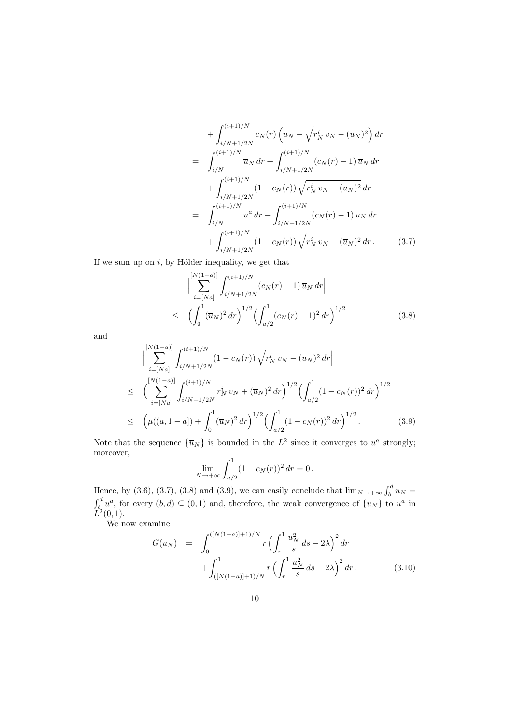$$
+\int_{i/N+1/2N}^{(i+1)/N} c_N(r) \left(\overline{u}_N - \sqrt{r_N^i v_N - (\overline{u}_N)^2}\right) dr
$$
  
\n
$$
= \int_{i/N}^{(i+1)/N} \overline{u}_N dr + \int_{i/N+1/2N}^{(i+1)/N} (c_N(r) - 1) \overline{u}_N dr
$$
  
\n
$$
+ \int_{i/N+1/2N}^{(i+1)/N} (1 - c_N(r)) \sqrt{r_N^i v_N - (\overline{u}_N)^2} dr
$$
  
\n
$$
= \int_{i/N}^{(i+1)/N} u^a dr + \int_{i/N+1/2N}^{(i+1)/N} (c_N(r) - 1) \overline{u}_N dr
$$
  
\n
$$
+ \int_{i/N+1/2N}^{(i+1)/N} (1 - c_N(r)) \sqrt{r_N^i v_N - (\overline{u}_N)^2} dr.
$$
 (3.7)

If we sum up on  $i$ , by Hölder inequality, we get that

$$
\left| \sum_{i=[Na]}^{[N(1-a)]} \int_{i/N+1/2N}^{(i+1)/N} (c_N(r) - 1) \,\overline{u}_N \, dr \right|
$$
  
\n
$$
\leq \left( \int_0^1 (\overline{u}_N)^2 \, dr \right)^{1/2} \left( \int_{a/2}^1 (c_N(r) - 1)^2 \, dr \right)^{1/2} \tag{3.8}
$$

and

$$
\begin{split}\n&\Big|\sum_{i=\lfloor Na\rfloor}^{[N(1-a)]} \int_{i/N+1/2N}^{(i+1)/N} (1-c_N(r)) \sqrt{r_N^i v_N - (\overline{u}_N)^2} \, dr\Big| \\
&\leq \left(\sum_{i=\lfloor Na\rfloor}^{[N(1-a)]} \int_{i/N+1/2N}^{(i+1)/N} r_N^i v_N + (\overline{u}_N)^2 \, dr\right)^{1/2} \left(\int_{a/2}^1 (1-c_N(r))^2 \, dr\right)^{1/2} \\
&\leq \left(\mu((a, 1-a]) + \int_0^1 (\overline{u}_N)^2 \, dr\right)^{1/2} \left(\int_{a/2}^1 (1-c_N(r))^2 \, dr\right)^{1/2}.\n\end{split} \tag{3.9}
$$

Note that the sequence  $\{\overline{u}_N\}$  is bounded in the  $L^2$  since it converges to  $u^a$  strongly; moreover,  $\mathfrak{c}^1$ 

$$
\lim_{N \to +\infty} \int_{a/2}^{1} (1 - c_N(r))^2 dr = 0.
$$

Hence, by (3.6), (3.7), (3.8) and (3.9), we can easily conclude that  $\lim_{N\to+\infty} \int_{b}^{d}$ Hence, by (3.6), (3.7), (3.8) and (3.9), we can easily conclude that  $\lim_{N \to +\infty} \int_{b}^{a} u_N =$  $b_0^d u^a$ , for every  $(b,d) \subseteq (0,1)$  and, therefore, the weak convergence of  $\{u_N\}$  to  $u^a$  in  $\tilde{L}^2(0,1)$ .

We now examine

$$
G(u_N) = \int_0^{([N(1-a)]+1)/N} r \left( \int_r^1 \frac{u_N^2}{s} ds - 2\lambda \right)^2 dr + \int_{([N(1-a)]+1)/N}^1 r \left( \int_r^1 \frac{u_N^2}{s} ds - 2\lambda \right)^2 dr.
$$
 (3.10)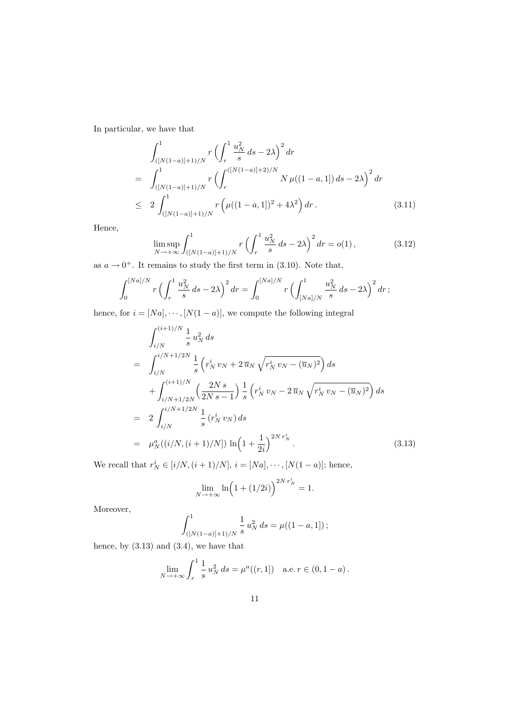In particular, we have that

$$
\int_{([N(1-a)]+1)/N}^{1} r \left( \int_{r}^{1} \frac{u_N^2}{s} ds - 2\lambda \right)^2 dr
$$
\n
$$
= \int_{([N(1-a)]+1)/N}^{1} r \left( \int_{r}^{([N(1-a)]+2)/N} N \mu((1-a,1]) ds - 2\lambda \right)^2 dr
$$
\n
$$
\leq 2 \int_{([N(1-a)]+1)/N}^{1} r \left( \mu((1-a,1])^2 + 4\lambda^2 \right) dr. \tag{3.11}
$$

Hence,

$$
\limsup_{N \to +\infty} \int_{([N(1-a)]+1)/N}^{1} r \left( \int_{r}^{1} \frac{u_N^2}{s} ds - 2\lambda \right)^2 dr = o(1), \tag{3.12}
$$

as  $a \to 0^+$ . It remains to study the first term in (3.10). Note that,

$$
\int_0^{[Na]/N} r \left( \int_r^1 \frac{u_N^2}{s} ds - 2\lambda \right)^2 dr = \int_0^{[Na]/N} r \left( \int_{[Na]/N}^1 \frac{u_N^2}{s} ds - 2\lambda \right)^2 dr ;
$$

hence, for  $i = [Na], \dots, [N(1 - a)],$  we compute the following integral

$$
\int_{i/N}^{(i+1)/N} \frac{1}{s} u_N^2 ds
$$
\n
$$
= \int_{i/N}^{i/N+1/2N} \frac{1}{s} \left( r_N^i v_N + 2 \overline{u}_N \sqrt{r_N^i v_N - (\overline{u}_N)^2} \right) ds
$$
\n
$$
+ \int_{i/N+1/2N}^{(i+1)/N} \left( \frac{2Ns}{2Ns - 1} \right) \frac{1}{s} \left( r_N^i v_N - 2 \overline{u}_N \sqrt{r_N^i v_N - (\overline{u}_N)^2} \right) ds
$$
\n
$$
= 2 \int_{i/N}^{i/N+1/2N} \frac{1}{s} \left( r_N^i v_N \right) ds
$$
\n
$$
= \mu_N^a \left( \left( i/N, (i+1)/N \right) \right) \ln \left( 1 + \frac{1}{2i} \right)^{2N} r_N^i . \tag{3.13}
$$

We recall that  $r_N^i \in [i/N, (i+1)/N], i = [Na], \dots, [N(1-a)];$  hence,

$$
\lim_{N \to +\infty} \ln\left(1 + (1/2i)\right)^{2N r_N^i} = 1.
$$

Moreover,

$$
\int_{([N(1-a)]+1)/N}^{1} \frac{1}{s} u_N^2 ds = \mu((1-a,1])
$$
;

hence, by  $(3.13)$  and  $(3.4)$ , we have that

$$
\lim_{N \to +\infty} \int_r^1 \frac{1}{s} u_N^2 ds = \mu^a((r, 1]) \quad \text{a.e. } r \in (0, 1 - a).
$$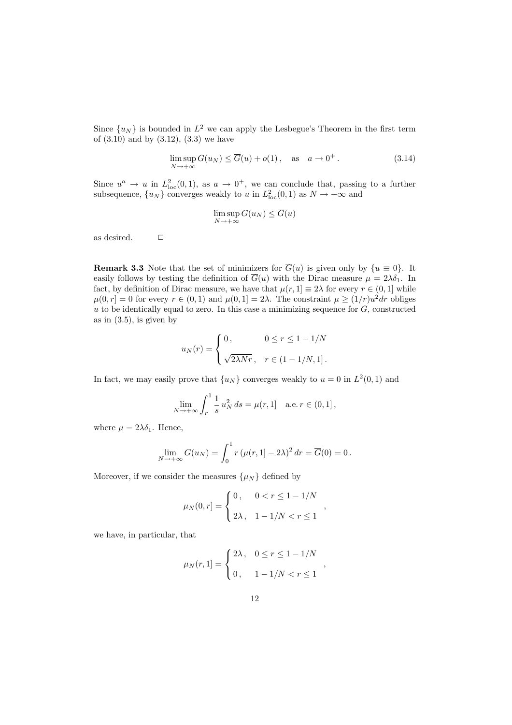Since  $\{u_N\}$  is bounded in  $L^2$  we can apply the Lesbegue's Theorem in the first term of  $(3.10)$  and by  $(3.12)$ ,  $(3.3)$  we have

$$
\limsup_{N \to +\infty} G(u_N) \le \overline{G}(u) + o(1), \quad \text{as} \quad a \to 0^+.
$$
\n(3.14)

Since  $u^a \to u$  in  $L^2_{loc}(0,1)$ , as  $a \to 0^+$ , we can conclude that, passing to a further subsequence,  $\{u_N\}$  converges weakly to u in  $L^2_{loc}(0,1)$  as  $N \to +\infty$  and

$$
\limsup_{N \to +\infty} G(u_N) \leq \overline{G}(u)
$$

as desired.  $\Box$ 

**Remark 3.3** Note that the set of minimizers for  $\overline{G}(u)$  is given only by  $\{u \equiv 0\}$ . It easily follows by testing the definition of  $\overline{G}(u)$  with the Dirac measure  $\mu = 2\lambda \delta_1$ . In fact, by definition of Dirac measure, we have that  $\mu(r, 1] \equiv 2\lambda$  for every  $r \in (0, 1]$  while  $\mu(0,r] = 0$  for every  $r \in (0,1)$  and  $\mu(0,1] = 2\lambda$ . The constraint  $\mu \ge (1/r)u^2 dr$  obliges  $u$  to be identically equal to zero. In this case a minimizing sequence for  $G$ , constructed as in  $(3.5)$ , is given by

$$
u_N(r) = \begin{cases} 0, & 0 \le r \le 1 - 1/N \\ \sqrt{2\lambda Nr}, & r \in (1 - 1/N, 1]. \end{cases}
$$

In fact, we may easily prove that  $\{u_N\}$  converges weakly to  $u = 0$  in  $L^2(0,1)$  and

$$
\lim_{N \to +\infty} \int_r^1 \frac{1}{s} u_N^2 ds = \mu(r, 1] \quad \text{a.e. } r \in (0, 1],
$$

where  $\mu = 2\lambda \delta_1$ . Hence,

$$
\lim_{N \to +\infty} G(u_N) = \int_0^1 r (\mu(r, 1) - 2\lambda)^2 dr = \overline{G}(0) = 0.
$$

Moreover, if we consider the measures  $\{\mu_N\}$  defined by

$$
\mu_N(0,r] = \begin{cases} 0, & 0 < r \le 1 - 1/N \\ 2\lambda, & 1 - 1/N < r \le 1 \end{cases}
$$

we have, in particular, that

$$
\mu_N(r, 1] = \begin{cases} 2\lambda, & 0 \le r \le 1 - 1/N \\ 0, & 1 - 1/N < r \le 1 \end{cases}
$$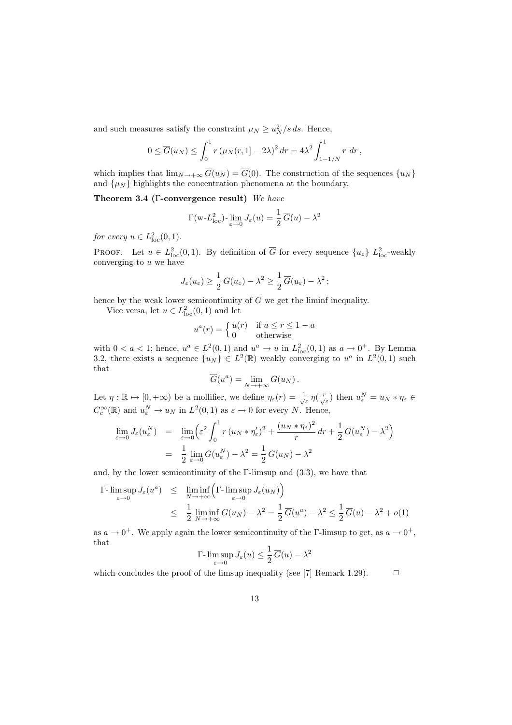and such measures satisfy the constraint  $\mu_N \ge u_N^2/s ds$ . Hence,

$$
0 \leq \overline{G}(u_N) \leq \int_0^1 r (\mu_N(r, 1) - 2\lambda)^2 dr = 4\lambda^2 \int_{1-1/N}^1 r dr,
$$

which implies that  $\lim_{N\to+\infty} \overline{G}(u_N) = \overline{G}(0)$ . The construction of the sequences  $\{u_N\}$ and  $\{\mu_N\}$  highlights the concentration phenomena at the boundary.

Theorem 3.4 (Γ-convergence result) We have

$$
\Gamma(\mathbf{w} \cdot L_{\text{loc}}^2) \cdot \lim_{\varepsilon \to 0} J_{\varepsilon}(u) = \frac{1}{2} \overline{G}(u) - \lambda^2
$$

for every  $u \in L^2_{\text{loc}}(0,1)$ .

PROOF. Let  $u \in L^2_{loc}(0,1)$ . By definition of  $\overline{G}$  for every sequence  $\{u_{\varepsilon}\}\ L^2_{loc}$ -weakly converging to  $u$  we have

$$
J_{\varepsilon}(u_{\varepsilon}) \geq \frac{1}{2} G(u_{\varepsilon}) - \lambda^2 \geq \frac{1}{2} \overline{G}(u_{\varepsilon}) - \lambda^2 ;
$$

hence by the weak lower semicontinuity of  $\overline{G}$  we get the liminf inequality.

Vice versa, let  $u \in L^2_{loc}(0,1)$  and let

$$
u^{a}(r) = \begin{cases} u(r) & \text{if } a \leq r \leq 1 - a \\ 0 & \text{otherwise} \end{cases}
$$

with  $0 < a < 1$ ; hence,  $u^a \in L^2(0,1)$  and  $u^a \to u$  in  $L^2_{loc}(0,1)$  as  $a \to 0^+$ . By Lemma 3.2, there exists a sequence  $\{u_N\} \in L^2(\mathbb{R})$  weakly converging to  $u^a$  in  $L^2(0,1)$  such that

$$
\overline{G}(u^a) = \lim_{N \to +\infty} G(u_N) .
$$

Let  $\eta : \mathbb{R} \mapsto [0, +\infty)$  be a mollifier, we define  $\eta_{\varepsilon}(r) = \frac{1}{\sqrt{\varepsilon}} \eta(\frac{r}{\sqrt{\varepsilon}})$  then  $u_{\varepsilon}^N = u_N * \eta_{\varepsilon} \in$  $C_c^{\infty}(\mathbb{R})$  and  $u_{\varepsilon}^N \to u_N$  in  $L^2(0,1)$  as  $\varepsilon \to 0$  for every N. Hence,

$$
\lim_{\varepsilon \to 0} J_{\varepsilon}(u_{\varepsilon}^{N}) = \lim_{\varepsilon \to 0} \left( \varepsilon^{2} \int_{0}^{1} r (u_{N} * \eta_{\varepsilon}')^{2} + \frac{(u_{N} * \eta_{\varepsilon})^{2}}{r} dr + \frac{1}{2} G(u_{\varepsilon}^{N}) - \lambda^{2} \right)
$$

$$
= \frac{1}{2} \lim_{\varepsilon \to 0} G(u_{\varepsilon}^{N}) - \lambda^{2} = \frac{1}{2} G(u_{N}) - \lambda^{2}
$$

and, by the lower semicontinuity of the  $\Gamma$ -limsup and  $(3.3)$ , we have that

$$
\Gamma\text{-}\limsup_{\varepsilon \to 0} J_{\varepsilon}(u^a) \leq \liminf_{N \to +\infty} \left( \Gamma\text{-}\limsup_{\varepsilon \to 0} J_{\varepsilon}(u_N) \right)
$$
\n
$$
\leq \frac{1}{2} \liminf_{N \to +\infty} G(u_N) - \lambda^2 = \frac{1}{2} \overline{G}(u^a) - \lambda^2 \leq \frac{1}{2} \overline{G}(u) - \lambda^2 + o(1)
$$

as  $a \to 0^+$ . We apply again the lower semicontinuity of the  $\Gamma$ -limsup to get, as  $a \to 0^+$ , that

$$
\Gamma\hbox{-}\limsup_{\varepsilon\to 0} J_\varepsilon(u)\leq \frac{1}{2}\,\overline{G}(u)-\lambda^2
$$

which concludes the proof of the limsup inequality (see [7] Remark 1.29).  $\Box$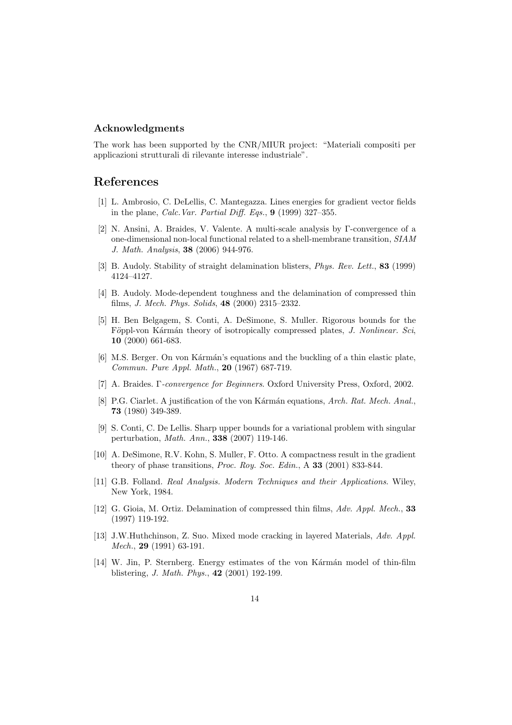#### Acknowledgments

The work has been supported by the CNR/MIUR project: "Materiali compositi per applicazioni strutturali di rilevante interesse industriale".

## References

- [1] L. Ambrosio, C. DeLellis, C. Mantegazza. Lines energies for gradient vector fields in the plane, Calc.Var. Partial Diff. Eqs., 9 (1999) 327–355.
- [2] N. Ansini, A. Braides, V. Valente. A multi-scale analysis by Γ-convergence of a one-dimensional non-local functional related to a shell-membrane transition, SIAM J. Math. Analysis, 38 (2006) 944-976.
- [3] B. Audoly. Stability of straight delamination blisters, Phys. Rev. Lett., 83 (1999) 4124–4127.
- [4] B. Audoly. Mode-dependent toughness and the delamination of compressed thin films, J. Mech. Phys. Solids, 48 (2000) 2315–2332.
- [5] H. Ben Belgagem, S. Conti, A. DeSimone, S. Muller. Rigorous bounds for the Föppl-von Kármán theory of isotropically compressed plates, J. Nonlinear. Sci, 10 (2000) 661-683.
- [6] M.S. Berger. On von Kármán's equations and the buckling of a thin elastic plate, Commun. Pure Appl. Math., 20 (1967) 687-719.
- [7] A. Braides. Γ-convergence for Beginners. Oxford University Press, Oxford, 2002.
- [8] P.G. Ciarlet. A justification of the von Kármán equations, Arch. Rat. Mech. Anal., 73 (1980) 349-389.
- [9] S. Conti, C. De Lellis. Sharp upper bounds for a variational problem with singular perturbation, Math. Ann., 338 (2007) 119-146.
- [10] A. DeSimone, R.V. Kohn, S. Muller, F. Otto. A compactness result in the gradient theory of phase transitions, Proc. Roy. Soc. Edin., A 33 (2001) 833-844.
- [11] G.B. Folland. Real Analysis. Modern Techniques and their Applications. Wiley, New York, 1984.
- [12] G. Gioia, M. Ortiz. Delamination of compressed thin films, Adv. Appl. Mech., 33 (1997) 119-192.
- [13] J.W.Huthchinson, Z. Suo. Mixed mode cracking in layered Materials, Adv. Appl. Mech., 29 (1991) 63-191.
- [14] W. Jin, P. Sternberg. Energy estimates of the von Karman model of thin-film blistering, J. Math. Phys., 42 (2001) 192-199.